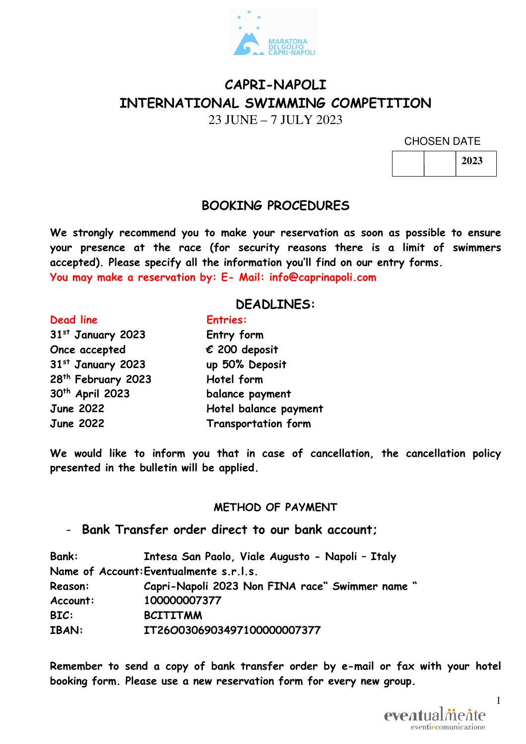

# **CAPRI-NAPOLI INTERNATIONAL SWIMMING COMPETITION**

23 JUNE – 7 JULY 2023

CHOSEN DATE

| 2023 |
|------|
|------|

## **BOOKING PROCEDURES**

**We strongly recommend you to make your reservation as soon as possible to ensure your presence at the race (for security reasons there is a limit of swimmers accepted). Please specify all the information you'll find on our entry forms. You may make a reservation by: E- Mail: info@caprinapoli.com** 

#### **DEADLINES:**

**st January 2023 Entry form Once accepted € 200 deposit st January 2023 up 50% Deposit th February 2023 Hotel form th April 2023 balance payment** 

# **Dead line Entries: June 2022 Hotel balance payment June 2022 Transportation form**

**We would like to inform you that in case of cancellation, the cancellation policy presented in the bulletin will be applied.** 

#### **METHOD OF PAYMENT**

- **Bank Transfer order direct to our bank account;** 

| <b>Bank:</b>   | Intesa San Paolo, Viale Augusto - Napoli - Italy |
|----------------|--------------------------------------------------|
|                | Name of Account: Eventualmente s.r.l.s.          |
| <b>Reason:</b> | Capri-Napoli 2023 Non FINA race" Swimmer name "  |
| Account:       | 100000007377                                     |
| BIC:           | <b>BCITITMM</b>                                  |
| <b>IBAN:</b>   | IT26O0306903497100000007377                      |

**Remember to send a copy of bank transfer order by e-mail or fax with your hotel booking form. Please use a new reservation form for every new group.** 

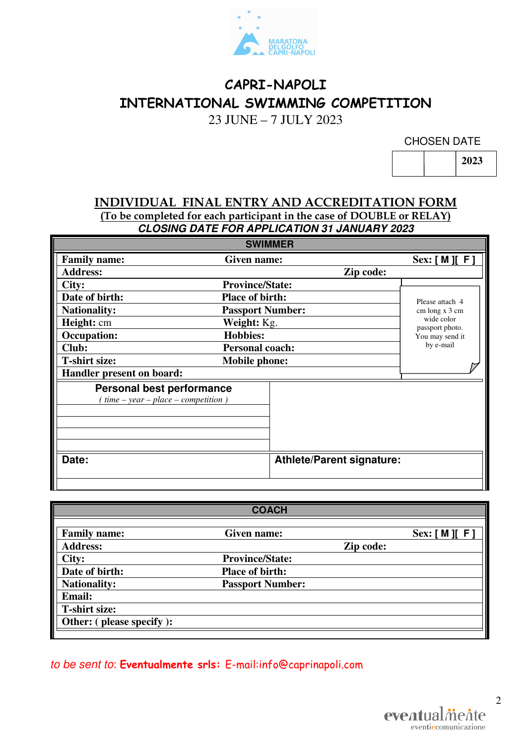

# **CAPRI-NAPOLI INTERNATIONAL SWIMMING COMPETITION**

23 JUNE – 7 JULY 2023

CHOSEN DATE

**2023** 

#### **INDIVIDUAL FINAL ENTRY AND ACCREDITATION FORM (To be completed for each participant in the case of DOUBLE or RELAY) CLOSING DATE FOR APPLICATION 31 JANUARY 2023**

| <b>SWIMMER</b>                                                           |                         |                                  |                               |  |
|--------------------------------------------------------------------------|-------------------------|----------------------------------|-------------------------------|--|
| <b>Family name:</b>                                                      | Given name:             |                                  | Sex: [M] [F]                  |  |
| <b>Address:</b>                                                          |                         | Zip code:                        |                               |  |
| City:                                                                    | <b>Province/State:</b>  |                                  |                               |  |
| Date of birth:                                                           | <b>Place of birth:</b>  |                                  | Please attach 4               |  |
| <b>Nationality:</b>                                                      | <b>Passport Number:</b> |                                  | cm long x 3 cm                |  |
| Height: cm                                                               | Weight: Kg.             |                                  | wide color<br>passport photo. |  |
| <b>Occupation:</b>                                                       | <b>Hobbies:</b>         |                                  | You may send it               |  |
| Club:                                                                    | <b>Personal coach:</b>  |                                  | by e-mail                     |  |
| <b>T-shirt size:</b>                                                     | <b>Mobile phone:</b>    |                                  |                               |  |
| Handler present on board:                                                |                         |                                  |                               |  |
| <b>Personal best performance</b><br>$time - year - place - competition)$ |                         |                                  |                               |  |
| Date:                                                                    |                         | <b>Athlete/Parent signature:</b> |                               |  |

|                          | <b>COACH</b>            |           |             |
|--------------------------|-------------------------|-----------|-------------|
| <b>Family name:</b>      | Given name:             |           | Sex: [M][F] |
| <b>Address:</b>          |                         | Zip code: |             |
| City:                    | <b>Province/State:</b>  |           |             |
| Date of birth:           | <b>Place of birth:</b>  |           |             |
| <b>Nationality:</b>      | <b>Passport Number:</b> |           |             |
| <b>Email:</b>            |                         |           |             |
| <b>T-shirt size:</b>     |                         |           |             |
| Other: (please specify): |                         |           |             |
|                          |                         |           |             |

## to be sent to: **Eventualmente srls:** E-mail:info@caprinapoli.com